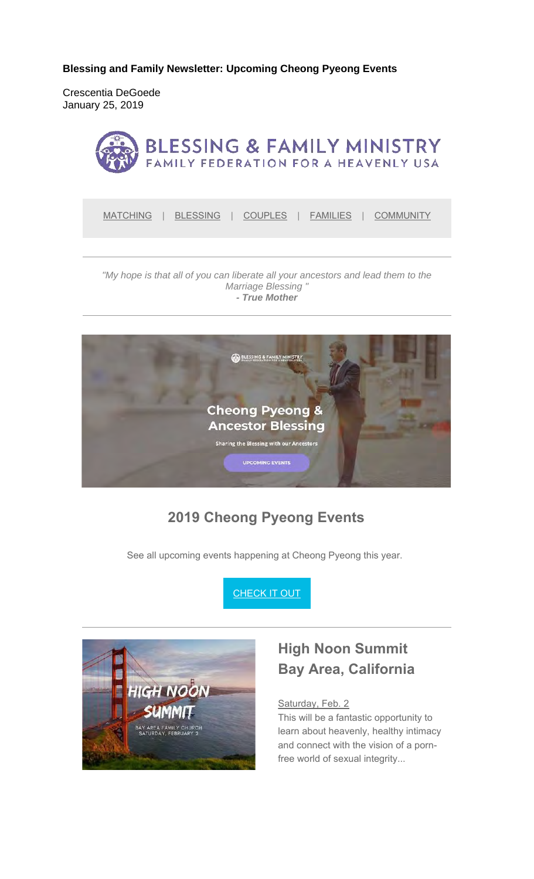**Blessing and Family Newsletter: Upcoming Cheong Pyeong Events** 

Crescentia DeGoede January 25, 2019



MATCHING | BLESSING | COUPLES | FAMILIES | COMMUNITY

#### *"My hope is that all of you can liberate all your ancestors and lead them to the Marriage Blessing " - True Mother*



### **2019 Cheong Pyeong Events**

See all upcoming events happening at Cheong Pyeong this year.





### **High Noon Summit Bay Area, California**

#### Saturday, Feb. 2

This will be a fantastic opportunity to learn about heavenly, healthy intimacy and connect with the vision of a pornfree world of sexual integrity...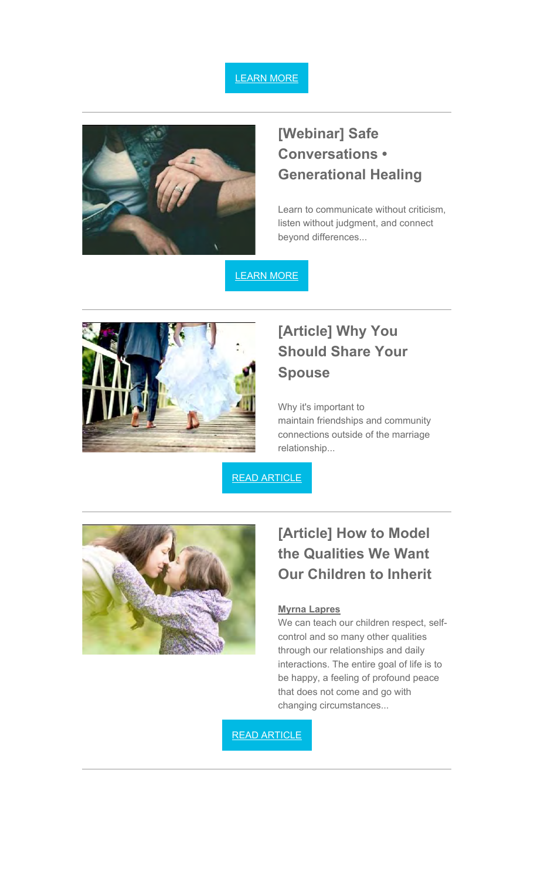



## **[Webinar] Safe Conversations • Generational Healing**

Learn to communicate without criticism, listen without judgment, and connect beyond differences...

LEARN MORE



## **[Article] Why You Should Share Your Spouse**

Why it's important to maintain friendships and community connections outside of the marriage relationship...

READ ARTICLE



## **[Article] How to Model the Qualities We Want Our Children to Inherit**

#### **Myrna Lapres**

We can teach our children respect, selfcontrol and so many other qualities through our relationships and daily interactions. The entire goal of life is to be happy, a feeling of profound peace that does not come and go with changing circumstances...

READ ARTICLE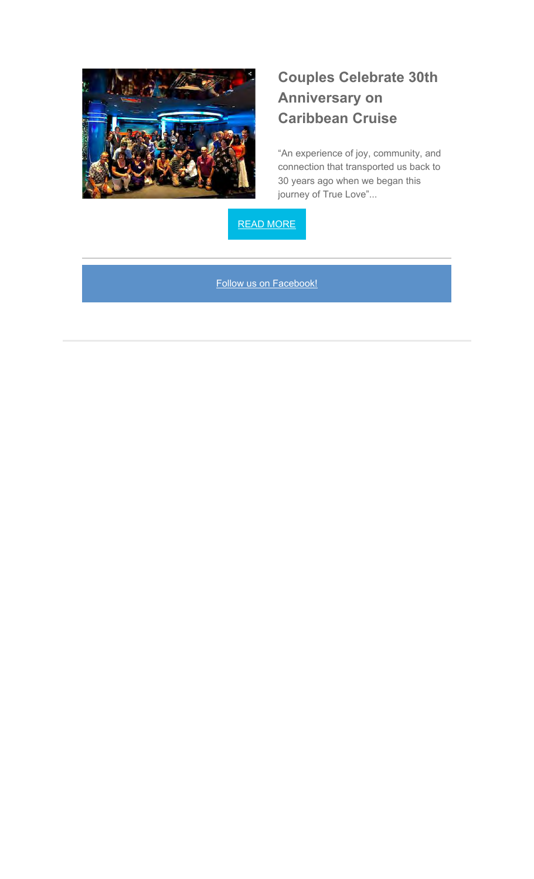

## **Couples Celebrate 30th Anniversary on Caribbean Cruise**

"An experience of joy, community, and connection that transported us back to 30 years ago when we began this journey of True Love"...

READ MORE

Follow us on Facebook!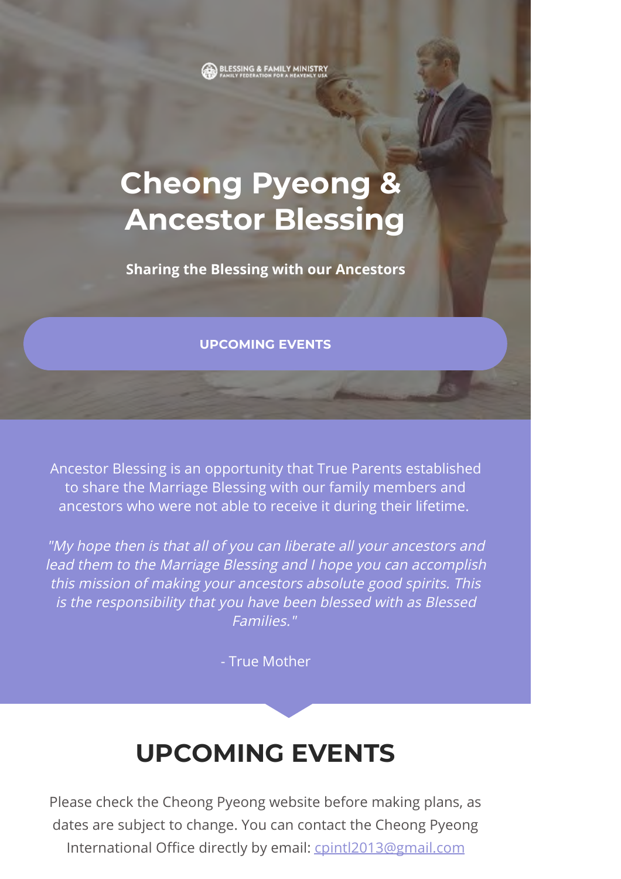BLESSING & FAMILY MINISTR

# **Cheong Pyeong & Ancestor Blessing**

**Sharing the Blessing with our Ancestors**

#### **[UPCOMING EVENTS](#page-3-0)**

Ancestor Blessing is an opportunity that True Parents established to share the Marriage Blessing with our family members and ancestors who were not able to receive it during their lifetime.

"My hope then is that all of you can liberate all your ancestors and lead them to the Marriage Blessing and I hope you can accomplish this mission of making your ancestors absolute good spirits. This is the responsibility that you have been blessed with as Blessed Families."

- True Mother

# **UPCOMING EVENTS**

<span id="page-3-0"></span>Please check the Cheong Pyeong website before making plans, as dates are subject to change. You can contact the Cheong Pyeong International Office directly by email: cpintl2013@gmail.com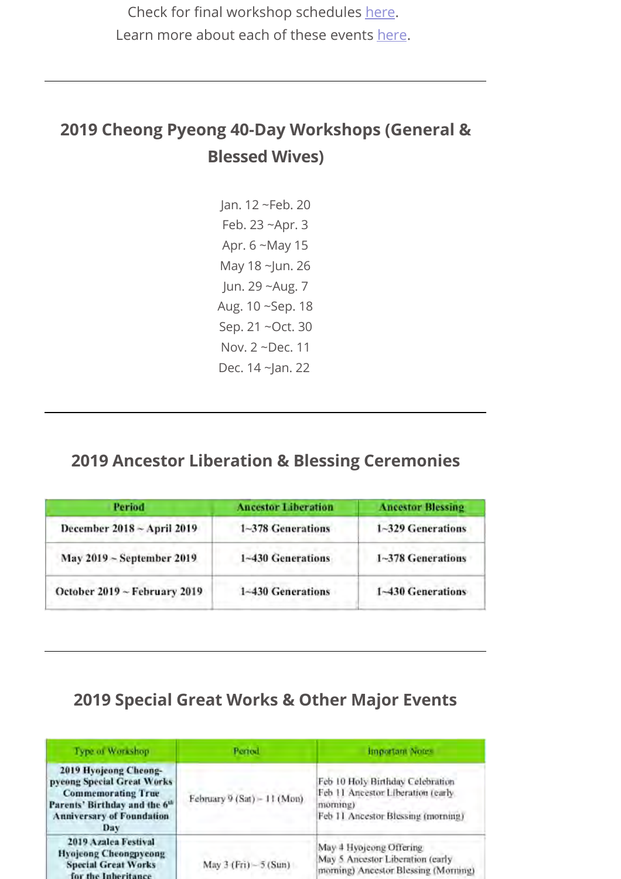Check for final workshop schedules here. Learn more about each of these events here.

#### **2019 Cheong Pyeong 40-Day Workshops (General & Blessed Wives)**

Jan. 12 ~Feb. 20 Feb. 23 ~Apr. 3 Apr. 6 ~May 15 May 18 ~Jun. 26 Jun. 29 ~Aug. 7 Aug. 10 ~Sep. 18 Sep. 21 ~Oct. 30 Nov. 2 ~Dec. 11 Dec. 14 ~Jan. 22

#### **2019 Ancestor Liberation & Blessing Ceremonies**

| Period                       | <b>Ancestor Liberation</b> | <b>Ancestor Blessing</b>                     |  |  |
|------------------------------|----------------------------|----------------------------------------------|--|--|
| December 2018 ~ April 2019   | 1~378 Generations          | 1~329 Generations<br>the company and company |  |  |
| May 2019 ~ September 2019    | 1~430 Generations          | 1~378 Generations                            |  |  |
| October 2019 ~ February 2019 | 1~430 Generations          | 1~430 Generations                            |  |  |

#### **2019 Special Great Works & Other Major Events**

| Type of Workshop                                                                                                                                                         | Period                      | <b>Important Notes</b>                                                                                                 |  |  |
|--------------------------------------------------------------------------------------------------------------------------------------------------------------------------|-----------------------------|------------------------------------------------------------------------------------------------------------------------|--|--|
| 2019 Hyojeong Cheong-<br>pycong Special Great Works<br><b>Commemorating True</b><br>Parents' Birthday and the 6 <sup>th</sup><br><b>Anniversary of Foundation</b><br>Day | February 9 (Sat) - 11 (Mon) | Feb 10 Holy Birthday Celebration<br>Feb 11 Ancestor Liberation (early<br>mormng)<br>Feb 11 Ancestor Blessing (morning) |  |  |
| <b>2019 Azalea Festival</b><br><b>Hyojeong Cheongpycong</b><br><b>Special Great Works</b><br>for the Inheritance                                                         | May $3(Fri) - 5(Sun)$       | May 4 Hyojeong Offering<br>May 5 Ancestor Liberation (early<br>morning) Ancestor Blessing (Morning)                    |  |  |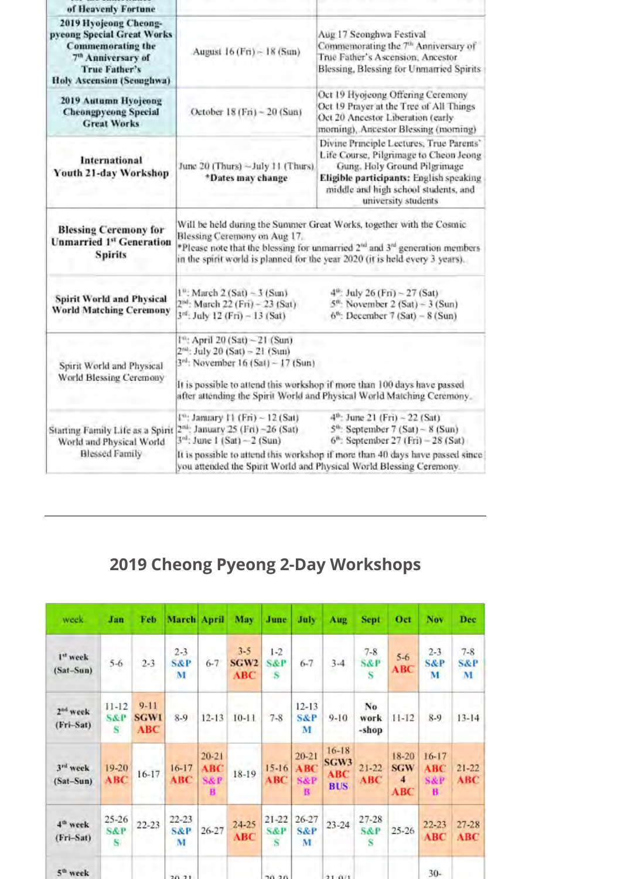| of Heavenly Fortune                                                                                                                                                                                                                                                                                                                                                                                                                                                                                                |                                                                                                                                                                                                                                                                                        |                                                                                                                                                                                                                                                             |  |  |  |  |
|--------------------------------------------------------------------------------------------------------------------------------------------------------------------------------------------------------------------------------------------------------------------------------------------------------------------------------------------------------------------------------------------------------------------------------------------------------------------------------------------------------------------|----------------------------------------------------------------------------------------------------------------------------------------------------------------------------------------------------------------------------------------------------------------------------------------|-------------------------------------------------------------------------------------------------------------------------------------------------------------------------------------------------------------------------------------------------------------|--|--|--|--|
| 2019 Hyojeong Cheong-<br>pyeong Special Great Works<br><b>Commemorating the</b><br>7 <sup>th</sup> Anniversary of<br><b>True Father's</b><br><b>Holy Ascension (Seoughwa)</b>                                                                                                                                                                                                                                                                                                                                      | August 16 (Fri) ~ 18 (Sun)                                                                                                                                                                                                                                                             | Aug 17 Seonghwa Festival<br>Commemorating the 7th Anniversary of<br>True Father's Ascension, Ancestor<br>Blessing, Blessing for Unmarried Spirits                                                                                                           |  |  |  |  |
| 2019 Autumn Hyojeong<br><b>Cheongpycong Special</b><br><b>Great Works</b>                                                                                                                                                                                                                                                                                                                                                                                                                                          | Oct 19 Hyojeong Offering Ceremony<br>Oct 19 Prayer at the Tree of All Things<br>October 18 (Fri) ~ 20 (Sun)<br>Oct 20 Ancestor Liberation (early<br>morning), Ancestor Blessing (morning)                                                                                              |                                                                                                                                                                                                                                                             |  |  |  |  |
| International<br>Youth 21-day Workshop                                                                                                                                                                                                                                                                                                                                                                                                                                                                             | Divine Principle Lectures, True Parents'<br>Life Course, Pilgrimage to Cheon Jeong<br>June 20 (Thurs) ~July 11 (Thurs).<br>Gung, Holy Ground Pilgrimage<br>*Dates may change<br>Eligible participants: English speaking<br>middle and high school students, and<br>university students |                                                                                                                                                                                                                                                             |  |  |  |  |
| <b>Blessing Ceremony for</b><br><b>Unmarried 1st Generation</b><br><b>Spirits</b>                                                                                                                                                                                                                                                                                                                                                                                                                                  | Blessing Ceremony on Aug 17.                                                                                                                                                                                                                                                           | Will be held during the Summer Great Works, together with the Cosmic<br>*Please note that the blessing for unmarried 2 <sup>nd</sup> and 3 <sup>rd</sup> generation members<br>in the spirit world is planned for the year 2020 (it is held every 3 years). |  |  |  |  |
| <b>Spirit World and Physical</b><br><b>World Matching Ceremony</b>                                                                                                                                                                                                                                                                                                                                                                                                                                                 | $1^{u}$ : March 2 (Sat) ~ 3 (Sun)<br>$4^{th}$ : July 26 (Fri) ~ 27 (Sat)<br>2 <sup>nd</sup> : March 22 (Fri) - 23 (Sat)<br>$5m$ . November 2 (Sat) - 3 (Sun)<br>3rd; July 12 (Fri) - 13 (Sat)<br>$6^{6}$ : December 7 (Sat) - 8 (Sun)                                                  |                                                                                                                                                                                                                                                             |  |  |  |  |
| Spirit World and Physical<br>World Blessing Ceremony                                                                                                                                                                                                                                                                                                                                                                                                                                                               | 1": April 20 (Sat) ~21 (Sun)<br>$2nd$ : July 20 (Sat) - 21 (Sun)<br>3 <sup>rd</sup> : November 16 (Sat) - 17 (Sun)                                                                                                                                                                     | It is possible to attend this workshop if more than 100 days have passed<br>after attending the Spirit World and Physical World Matching Ceremony.                                                                                                          |  |  |  |  |
| 4 <sup>th</sup> : June 21 (Fri) - 22 (Sat)<br>I <sup>n</sup> : January 11 (Fri) ~ 12 (Sat)<br>2 <sup>ni</sup> : January 25 (Fri) -26 (Sat)<br>$5^{\circ}$ : September 7 (Sat) ~ 8 (Sun)<br>Starting Family Life as a Spirit<br>$3rd$ ; June 1 (Sat) - 2 (Sun)<br>$6m$ : September 27 (Fri) - 28 (Sat)<br>World and Physical World<br><b>Blessed Family</b><br>It is possible to attend this workshop if more than 40 days have passed since<br>you attended the Spirit World and Physical World Blessing Ceremony. |                                                                                                                                                                                                                                                                                        |                                                                                                                                                                                                                                                             |  |  |  |  |

## **2019 Cheong Pyeong 2-Day Workshops**

| week.                               | Jan                              | Feb                            | March April                      |                                                | May                                       | June                                      | July                                    | Aug                                    | <b>Sept</b>                      | Oct                                                          | Nev                                            | Dec                            |
|-------------------------------------|----------------------------------|--------------------------------|----------------------------------|------------------------------------------------|-------------------------------------------|-------------------------------------------|-----------------------------------------|----------------------------------------|----------------------------------|--------------------------------------------------------------|------------------------------------------------|--------------------------------|
| 1st week<br>$(Sat-Sun)$             | $5 - 6$                          | $2 - 3$                        | $2 - 3$<br>S&P<br>M              | $6 - 7$                                        | $3 - 5$<br>SGW <sub>2</sub><br><b>ABC</b> | $1 - 2$<br><b>S&amp;P</b><br>$\mathbf{S}$ | $6 - 7$                                 | $3 - 4$                                | $7 - 8$<br>S&P<br>-S             | $5 - 6$<br>ABC                                               | $2 - 3$<br><b>S&amp;P</b><br>M                 | $7 - 8$<br><b>S&amp;P</b><br>M |
| 2 <sup>ad</sup> week<br>$(Fri-Sat)$ | $11 - 12$<br><b>S&amp;P</b><br>s | $9 - 11$<br><b>SGW1</b><br>ABC | $8-9$                            | $12 - 13$                                      | $10 - 11$                                 | $7 - 8$                                   | $12 - 13$<br><b>S&amp;P</b><br>м        | $9 - 10$                               | No<br>work<br>-shop              | $11 - 12$                                                    | $8-9$                                          | $13 - 14$                      |
| 3rd week<br>$(Sat-Sun)$             | 19-20<br><b>ABC</b>              | $16 - 17$                      | $16 - 17$<br>ABC:                | $20 - 21$<br><b>ABC</b><br><b>S&amp;P</b><br>в | 18-19                                     | $15-16$<br>ABC                            | $20 - 21$<br>ABC<br><b>S&amp;P</b><br>в | $16 - 18$<br>SGW3<br>ABC<br><b>BUS</b> | $21 - 22$<br><b>ABC</b>          | 18-20<br><b>SGW</b><br>$\overline{\mathbf{4}}$<br><b>ABC</b> | $16 - 17$<br><b>ABC</b><br><b>S&amp;P</b><br>B | $21 - 22$<br><b>ABC</b>        |
| 4 <sup>th</sup> week<br>(Fri-Sat)   | $25 - 26$<br><b>S&amp;P</b><br>S | $22 - 23$                      | $22 - 23$<br><b>S&amp;P</b><br>M | $26 - 27$                                      | $24 - 25$<br><b>ABC</b>                   | $21 - 22$<br><b>S&amp;P</b><br>S          | 26-27<br><b>S&amp;P</b><br>M            | $23 - 24$                              | $27 - 28$<br><b>S&amp;P</b><br>s | $25 - 26$                                                    | 22-23<br>ABC                                   | 27-28<br>ABC                   |
| 5 <sup>th</sup> week                |                                  |                                | 20.21                            |                                                |                                           | 30.30                                     |                                         | $21 - 0.11$                            |                                  |                                                              | $30-$                                          |                                |